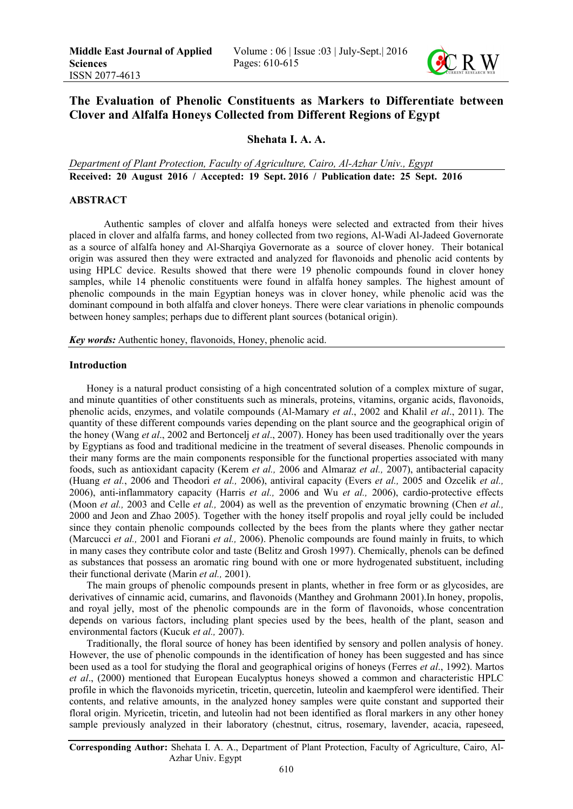

# The Evaluation of Phenolic Constituents as Markers to Differentiate between Clover and Alfalfa Honeys Collected from Different Regions of Egypt

# Shehata I. A. A.

*Department of Plant Protection, Faculty of Agriculture, Cairo, Al-Azhar Univ., Egypt* Received: 20 August 2016 / Accepted: 19 Sept. 2016 / Publication date: 25 Sept. 2016

# ABSTRACT

Authentic samples of clover and alfalfa honeys were selected and extracted from their hives placed in clover and alfalfa farms, and honey collected from two regions, Al-Wadi Al-Jadeed Governorate as a source of alfalfa honey and Al-Sharqiya Governorate as a source of clover honey. Their botanical origin was assured then they were extracted and analyzed for flavonoids and phenolic acid contents by using HPLC device. Results showed that there were 19 phenolic compounds found in clover honey samples, while 14 phenolic constituents were found in alfalfa honey samples. The highest amount of phenolic compounds in the main Egyptian honeys was in clover honey, while phenolic acid was the dominant compound in both alfalfa and clover honeys. There were clear variations in phenolic compounds between honey samples; perhaps due to different plant sources (botanical origin).

*Key words:* Authentic honey, flavonoids, Honey, phenolic acid.

# Introduction

Honey is a natural product consisting of a high concentrated solution of a complex mixture of sugar, and minute quantities of other constituents such as minerals, proteins, vitamins, organic acids, flavonoids, phenolic acids, enzymes, and volatile compounds (Al-Mamary *et al*., 2002 and Khalil *et al*., 2011). The quantity of these different compounds varies depending on the plant source and the geographical origin of the honey (Wang *et al*., 2002 and Bertoncelj *et al*., 2007). Honey has been used traditionally over the years by Egyptians as food and traditional medicine in the treatment of several diseases. Phenolic compounds in their many forms are the main components responsible for the functional properties associated with many foods, such as antioxidant capacity (Kerem *et al.,* 2006 and Almaraz *et al.,* 2007), antibacterial capacity (Huang *et al.*, 2006 and Theodori *et al.,* 2006), antiviral capacity (Evers *et al.,* 2005 and Ozcelik *et al.,* 2006), anti-inflammatory capacity (Harris *et al.,* 2006 and Wu *et al.,* 2006), cardio-protective effects (Moon *et al.,* 2003 and Celle *et al.,* 2004) as well as the prevention of enzymatic browning (Chen *et al.,* 2000 and Jeon and Zhao 2005). Together with the honey itself propolis and royal jelly could be included since they contain phenolic compounds collected by the bees from the plants where they gather nectar (Marcucci *et al.,* 2001 and Fiorani *et al.,* 2006). Phenolic compounds are found mainly in fruits, to which in many cases they contribute color and taste (Belitz and Grosh 1997). Chemically, phenols can be defined as substances that possess an aromatic ring bound with one or more hydrogenated substituent, including their functional derivate (Marin *et al.,* 2001).

The main groups of phenolic compounds present in plants, whether in free form or as glycosides, are derivatives of cinnamic acid, cumarins, and flavonoids (Manthey and Grohmann 2001).In honey, propolis, and royal jelly, most of the phenolic compounds are in the form of flavonoids, whose concentration depends on various factors, including plant species used by the bees, health of the plant, season and environmental factors (Kucuk *et al.,* 2007).

Traditionally, the floral source of honey has been identified by sensory and pollen analysis of honey. However, the use of phenolic compounds in the identification of honey has been suggested and has since been used as a tool for studying the floral and geographical origins of honeys (Ferres *et al*., 1992). Martos *et al*., (2000) mentioned that European Eucalyptus honeys showed a common and characteristic HPLC profile in which the flavonoids myricetin, tricetin, quercetin, luteolin and kaempferol were identified. Their contents, and relative amounts, in the analyzed honey samples were quite constant and supported their floral origin. Myricetin, tricetin, and luteolin had not been identified as floral markers in any other honey sample previously analyzed in their laboratory (chestnut, citrus, rosemary, lavender, acacia, rapeseed,

Corresponding Author: Shehata I. A. A., Department of Plant Protection, Faculty of Agriculture, Cairo, Al-Azhar Univ. Egypt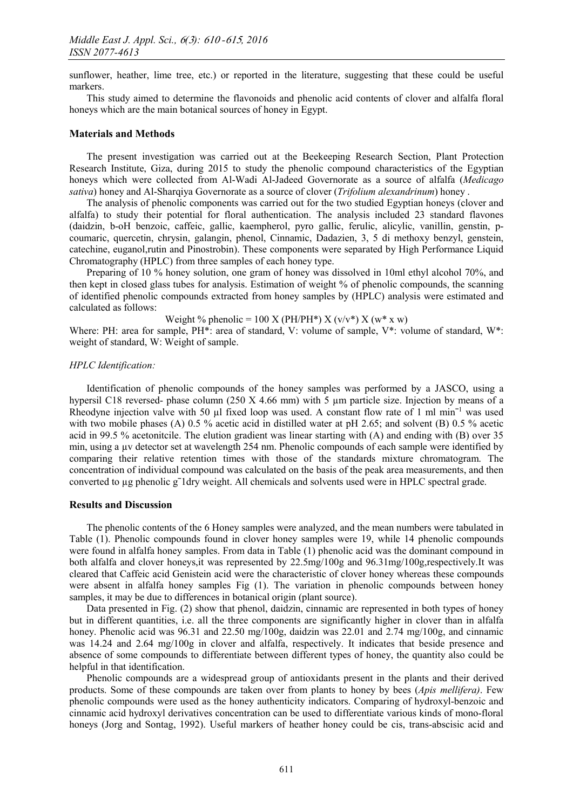sunflower, heather, lime tree, etc.) or reported in the literature, suggesting that these could be useful markers.

This study aimed to determine the flavonoids and phenolic acid contents of clover and alfalfa floral honeys which are the main botanical sources of honey in Egypt.

#### Materials and Methods

The present investigation was carried out at the Beekeeping Research Section, Plant Protection Research Institute, Giza, during 2015 to study the phenolic compound characteristics of the Egyptian honeys which were collected from Al-Wadi Al-Jadeed Governorate as a source of alfalfa (*Medicago sativa*) honey and Al-Sharqiya Governorate as a source of clover (*Trifolium alexandrinum*) honey .

The analysis of phenolic components was carried out for the two studied Egyptian honeys (clover and alfalfa) to study their potential for floral authentication. The analysis included 23 standard flavones (daidzin, b-oH benzoic, caffeic, gallic, kaempherol, pyro gallic, ferulic, alicylic, vanillin, genstin, pcoumaric, quercetin, chrysin, galangin, phenol, Cinnamic, Dadazien, 3, 5 di methoxy benzyl, genstein, catechine, euganol,rutin and Pinostrobin). These components were separated by High Performance Liquid Chromatography (HPLC) from three samples of each honey type.

Preparing of 10 % honey solution, one gram of honey was dissolved in 10ml ethyl alcohol 70%, and then kept in closed glass tubes for analysis. Estimation of weight % of phenolic compounds, the scanning of identified phenolic compounds extracted from honey samples by (HPLC) analysis were estimated and calculated as follows:

Weight % phenolic = 100 X (PH/PH\*) X (v/v\*) X (w\* x w)

Where: PH: area for sample, PH<sup>\*</sup>: area of standard, V: volume of sample, V<sup>\*</sup>: volume of standard, W<sup>\*</sup>: weight of standard, W: Weight of sample.

#### *HPLC Identification:*

Identification of phenolic compounds of the honey samples was performed by a JASCO, using a hypersil C18 reversed- phase column (250 X 4.66 mm) with 5  $\mu$ m particle size. Injection by means of a Rheodyne injection valve with 50  $\mu$ l fixed loop was used. A constant flow rate of 1 ml min<sup>-1</sup> was used with two mobile phases (A) 0.5 % acetic acid in distilled water at pH 2.65; and solvent (B) 0.5 % acetic acid in 99.5 % acetonitcile. The elution gradient was linear starting with (A) and ending with (B) over 35 min, using a µv detector set at wavelength 254 nm. Phenolic compounds of each sample were identified by comparing their relative retention times with those of the standards mixture chromatogram. The concentration of individual compound was calculated on the basis of the peak area measurements, and then converted to µg phenolic gˉ1dry weight. All chemicals and solvents used were in HPLC spectral grade.

#### Results and Discussion

The phenolic contents of the 6 Honey samples were analyzed, and the mean numbers were tabulated in Table (1). Phenolic compounds found in clover honey samples were 19, while 14 phenolic compounds were found in alfalfa honey samples. From data in Table (1) phenolic acid was the dominant compound in both alfalfa and clover honeys,it was represented by 22.5mg/100g and 96.31mg/100g,respectively.It was cleared that Caffeic acid Genistein acid were the characteristic of clover honey whereas these compounds were absent in alfalfa honey samples Fig (1). The variation in phenolic compounds between honey samples, it may be due to differences in botanical origin (plant source).

Data presented in Fig. (2) show that phenol, daidzin, cinnamic are represented in both types of honey but in different quantities, i.e. all the three components are significantly higher in clover than in alfalfa honey. Phenolic acid was 96.31 and 22.50 mg/100g, daidzin was 22.01 and 2.74 mg/100g, and cinnamic was 14.24 and 2.64 mg/100g in clover and alfalfa, respectively. It indicates that beside presence and absence of some compounds to differentiate between different types of honey, the quantity also could be helpful in that identification.

Phenolic compounds are a widespread group of antioxidants present in the plants and their derived products. Some of these compounds are taken over from plants to honey by bees (*Apis mellifera)*. Few phenolic compounds were used as the honey authenticity indicators. Comparing of hydroxyl-benzoic and cinnamic acid hydroxyl derivatives concentration can be used to differentiate various kinds of mono-floral honeys (Jorg and Sontag, 1992). Useful markers of heather honey could be cis, trans-abscisic acid and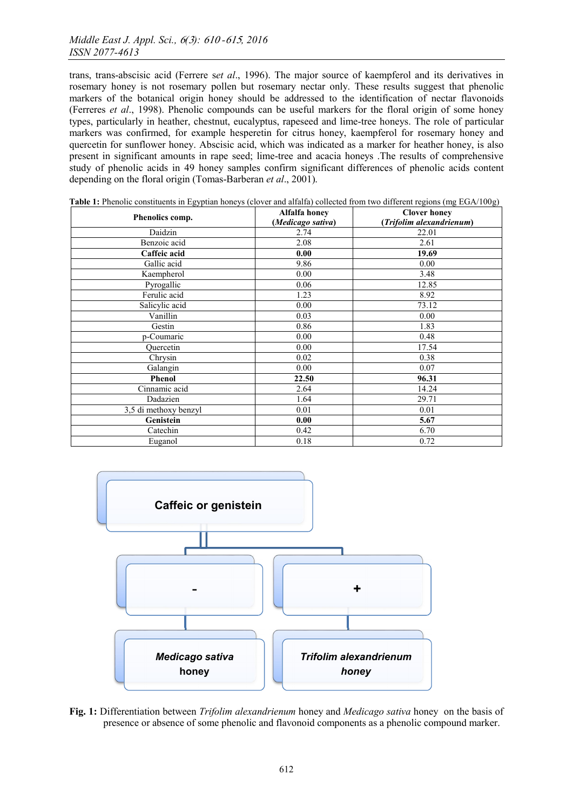trans, trans-abscisic acid (Ferrere s*et al*., 1996). The major source of kaempferol and its derivatives in rosemary honey is not rosemary pollen but rosemary nectar only. These results suggest that phenolic markers of the botanical origin honey should be addressed to the identification of nectar flavonoids (Ferreres *et al*., 1998). Phenolic compounds can be useful markers for the floral origin of some honey types, particularly in heather, chestnut, eucalyptus, rapeseed and lime-tree honeys. The role of particular markers was confirmed, for example hesperetin for citrus honey, kaempferol for rosemary honey and quercetin for sunflower honey. Abscisic acid, which was indicated as a marker for heather honey, is also present in significant amounts in rape seed; lime-tree and acacia honeys .The results of comprehensive study of phenolic acids in 49 honey samples confirm significant differences of phenolic acids content depending on the floral origin (Tomas-Barberan *et al*., 2001).

| ັ້<br>Phenolics comp. | Alfalfa honey<br>(Medicago sativa) | $\tilde{\phantom{a}}$<br><b>Clover honey</b><br>(Trifolim alexandrienum) |
|-----------------------|------------------------------------|--------------------------------------------------------------------------|
| Daidzin               | 2.74                               | 22.01                                                                    |
| Benzoic acid          | 2.08                               | 2.61                                                                     |
| Caffeic acid          | 0.00                               | 19.69                                                                    |
| Gallic acid           | 9.86                               | 0.00                                                                     |
| Kaempherol            | 0.00                               | 3.48                                                                     |
| Pyrogallic            | 0.06                               | 12.85                                                                    |
| Ferulic acid          | 1.23                               | 8.92                                                                     |
| Salicylic acid        | 0.00                               | 73.12                                                                    |
| Vanillin              | 0.03                               | 0.00                                                                     |
| Gestin                | 0.86                               | 1.83                                                                     |
| p-Coumaric            | 0.00                               | 0.48                                                                     |
| Quercetin             | 0.00                               | 17.54                                                                    |
| Chrysin               | 0.02                               | 0.38                                                                     |
| Galangin              | 0.00                               | 0.07                                                                     |
| <b>Phenol</b>         | 22.50                              | 96.31                                                                    |
| Cinnamic acid         | 2.64                               | 14.24                                                                    |
| Dadazien              | 1.64                               | 29.71                                                                    |
| 3,5 di methoxy benzyl | 0.01                               | 0.01                                                                     |
| Genistein             | 0.00                               | 5.67                                                                     |
| Catechin              | 0.42                               | 6.70                                                                     |
| Euganol               | 0.18                               | 0.72                                                                     |

Table 1: Phenolic constituents in Egyptian honeys (clover and alfalfa) collected from two different regions (mg EGA/100g)



Fig. 1: Differentiation between *Trifolim alexandrienum* honey and *Medicago sativa* honey on the basis of presence or absence of some phenolic and flavonoid components as a phenolic compound marker.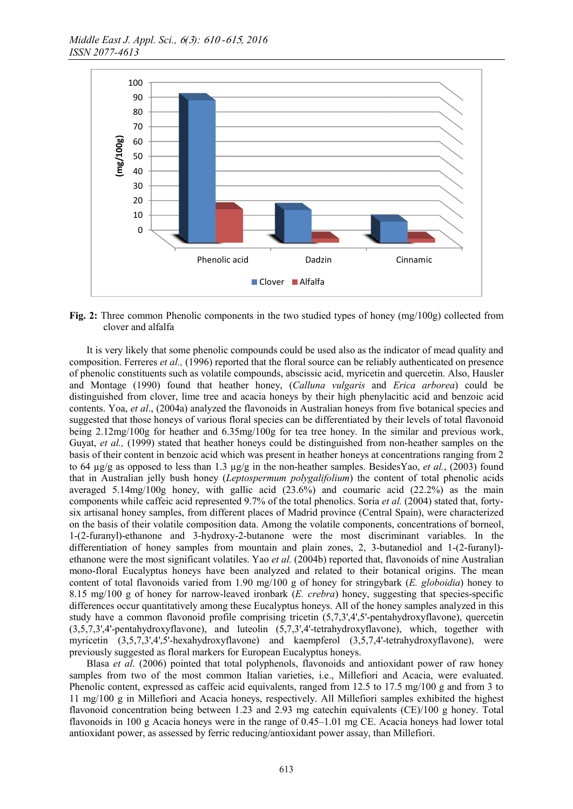

Fig. 2: Three common Phenolic components in the two studied types of honey (mg/100g) collected from clover and alfalfa

It is very likely that some phenolic compounds could be used also as the indicator of mead quality and composition. Ferreres *et al.,* (1996) reported that the floral source can be reliably authenticated on presence of phenolic constituents such as volatile compounds, abscissic acid, myricetin and quercetin. Also, Hausler and Montage (1990) found that heather honey, (*Calluna vulgaris* and *Erica arborea*) could be distinguished from clover, lime tree and acacia honeys by their high phenylacitic acid and benzoic acid contents. Yoa, *et al*., (2004a) analyzed the flavonoids in Australian honeys from five botanical species and suggested that those honeys of various floral species can be differentiated by their levels of total flavonoid being 2.12mg/100g for heather and 6.35mg/100g for tea tree honey. In the similar and previous work, Guyat, *et al.,* (1999) stated that heather honeys could be distinguished from non-heather samples on the basis of their content in benzoic acid which was present in heather honeys at concentrations ranging from 2 to 64 µg/g as opposed to less than 1.3 µg/g in the non-heather samples. BesidesYao, *et al.*, (2003) found that in Australian jelly bush honey (*Leptospermum polygalifolium*) the content of total phenolic acids averaged 5.14mg/100g honey, with gallic acid  $(23.6\%)$  and coumaric acid  $(22.2\%)$  as the main components while caffeic acid represented 9.7% of the total phenolics. Soria *et al.* (2004) stated that, fortysix artisanal honey samples, from different places of Madrid province (Central Spain), were characterized on the basis of their volatile composition data. Among the volatile components, concentrations of borneol, 1-(2-furanyl)-ethanone and 3-hydroxy-2-butanone were the most discriminant variables. In the differentiation of honey samples from mountain and plain zones, 2, 3-butanediol and 1-(2-furanyl) ethanone were the most significant volatiles. Yao *et al.* (2004b) reported that, flavonoids of nine Australian mono-floral Eucalyptus honeys have been analyzed and related to their botanical origins. The mean content of total flavonoids varied from 1.90 mg/100 g of honey for stringybark (*E. globoidia*) honey to 8.15 mg/100 g of honey for narrow-leaved ironbark (*E. crebra*) honey, suggesting that species-specific differences occur quantitatively among these Eucalyptus honeys. All of the honey samples analyzed in this study have a common flavonoid profile comprising tricetin (5,7,3',4',5'-pentahydroxyflavone), quercetin (3,5,7,3',4'-pentahydroxyflavone), and luteolin (5,7,3',4'-tetrahydroxyflavone), which, together with myricetin (3,5,7,3',4',5'-hexahydroxyflavone) and kaempferol (3,5,7,4'-tetrahydroxyflavone), were previously suggested as floral markers for European Eucalyptus honeys.

Blasa *et al*. (2006) pointed that total polyphenols, flavonoids and antioxidant power of raw honey samples from two of the most common Italian varieties, i.e., Millefiori and Acacia, were evaluated. Phenolic content, expressed as caffeic acid equivalents, ranged from 12.5 to 17.5 mg/100 g and from 3 to 11 mg/100 g in Millefiori and Acacia honeys, respectively. All Millefiori samples exhibited the highest flavonoid concentration being between 1.23 and 2.93 mg catechin equivalents (CE)/100 g honey. Total flavonoids in 100 g Acacia honeys were in the range of 0.45–1.01 mg CE. Acacia honeys had lower total antioxidant power, as assessed by ferric reducing/antioxidant power assay, than Millefiori.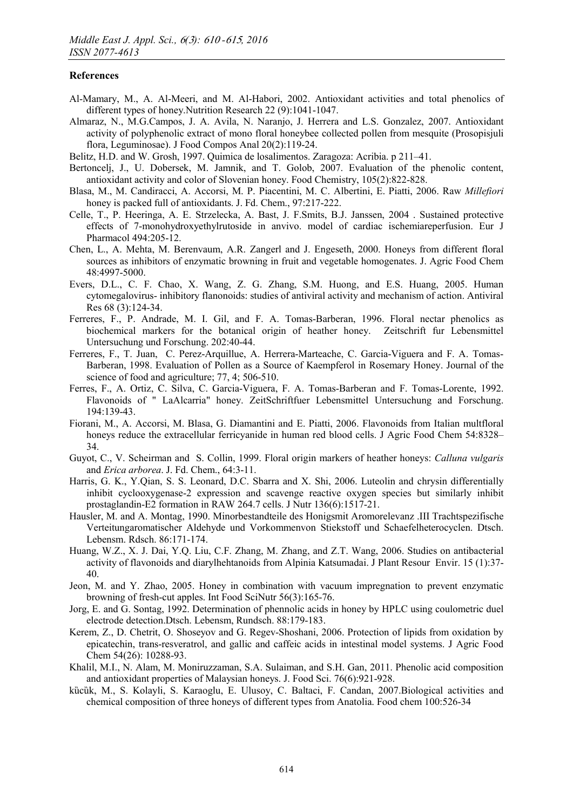# References

- Al-Mamary, M., A. Al-Meeri, and M. Al-Habori, 2002. Antioxidant activities and total phenolics of different types of honey.Nutrition Research 22 (9):1041-1047.
- Almaraz, N., M.G.Campos, J. A. Avila, N. Naranjo, J. Herrera and L.S. Gonzalez, 2007. Antioxidant activity of polyphenolic extract of mono floral honeybee collected pollen from mesquite (Prosopisjuli flora, Leguminosae). J Food Compos Anal 20(2):119-24.
- Belitz, H.D. and W. Grosh, 1997. Quimica de losalimentos. Zaragoza: Acribia. p 211–41.
- Bertoncelj, J., U. Dobersek, M. Jamnik, and T. Golob, 2007. Evaluation of the phenolic content, antioxidant activity and color of Slovenian honey. Food Chemistry, 105(2):822-828.
- Blasa, M., M. Candiracci, A. Accorsi, M. P. Piacentini, M. C. Albertini, E. Piatti, 2006. Raw *Millefiori* honey is packed full of antioxidants. J. Fd. Chem., 97:217-222.
- Celle, T., P. Heeringa, A. E. Strzelecka, A. Bast, J. F.Smits, B.J. Janssen, 2004 . Sustained protective effects of 7-monohydroxyethylrutoside in anvivo. model of cardiac ischemiareperfusion. Eur J Pharmacol 494:205-12.
- Chen, L., A. Mehta, M. Berenvaum, A.R. Zangerl and J. Engeseth, 2000. Honeys from different floral sources as inhibitors of enzymatic browning in fruit and vegetable homogenates. J. Agric Food Chem 48:4997-5000.
- Evers, D.L., C. F. Chao, X. Wang, Z. G. Zhang, S.M. Huong, and E.S. Huang, 2005. Human cytomegalovirus- inhibitory flanonoids: studies of antiviral activity and mechanism of action. Antiviral Res 68 (3):124-34.
- Ferreres, F., P. Andrade, M. I. Gil, and F. A. Tomas-Barberan, 1996. Floral nectar phenolics as biochemical markers for the botanical origin of heather honey. Zeitschrift fur Lebensmittel Untersuchung und Forschung. 202:40-44.
- Ferreres, F., T. Juan, C. Perez-Arquillue, A. Herrera-Marteache, C. Garcia-Viguera and F. A. Tomas-Barberan, 1998. Evaluation of Pollen as a Source of Kaempferol in Rosemary Honey. Journal of the science of food and agriculture; 77, 4; 506-510.
- Ferres, F., A. Ortiz, C. Silva, C. Garcia-Viguera, F. A. Tomas-Barberan and F. Tomas-Lorente, 1992. Flavonoids of " LaAlcarria" honey. ZeitSchriftfuer Lebensmittel Untersuchung and Forschung. 194:139-43.
- Fiorani, M., A. Accorsi, M. Blasa, G. Diamantini and E. Piatti, 2006. Flavonoids from Italian multfloral honeys reduce the extracellular ferricyanide in human red blood cells. J Agric Food Chem 54:8328– 34.
- Guyot, C., V. Scheirman and S. Collin, 1999. Floral origin markers of heather honeys: *Calluna vulgaris* and *Erica arborea*. J. Fd. Chem., 64:3-11.
- Harris, G. K., Y.Qian, S. S. Leonard, D.C. Sbarra and X. Shi, 2006. Luteolin and chrysin differentially inhibit cyclooxygenase-2 expression and scavenge reactive oxygen species but similarly inhibit prostaglandin-E2 formation in RAW 264.7 cells. J Nutr 136(6):1517-21.
- Hausler, M. and A. Montag, 1990. Minorbestandteile des Honigsmit Aromorelevanz .III Trachtspezifische Verteitungaromatischer Aldehyde und Vorkommenvon Stiekstoff und Schaefelheterocyclen. Dtsch. Lebensm. Rdsch. 86:171-174.
- Huang, W.Z., X. J. Dai, Y.Q. Liu, C.F. Zhang, M. Zhang, and Z.T. Wang, 2006. Studies on antibacterial activity of flavonoids and diarylhehtanoids from Alpinia Katsumadai. J Plant Resour Envir. 15 (1):37- 40.
- Jeon, M. and Y. Zhao, 2005. Honey in combination with vacuum impregnation to prevent enzymatic browning of fresh-cut apples. Int Food SciNutr 56(3):165-76.
- Jorg, E. and G. Sontag, 1992. Determination of phennolic acids in honey by HPLC using coulometric duel electrode detection.Dtsch. Lebensm, Rundsch. 88:179-183.
- Kerem, Z., D. Chetrit, O. Shoseyov and G. Regev-Shoshani, 2006. Protection of lipids from oxidation by epicatechin, trans-resveratrol, and gallic and caffeic acids in intestinal model systems. J Agric Food Chem 54(26): 10288-93.
- Khalil, M.I., N. Alam, M. Moniruzzaman, S.A. Sulaiman, and S.H. Gan, 2011. Phenolic acid composition and antioxidant properties of Malaysian honeys. J. Food Sci. 76(6):921-928.
- kücük, M., S. Kolayli, S. Karaoglu, E. Ulusoy, C. Baltaci, F. Candan, 2007. Biological activities and chemical composition of three honeys of different types from Anatolia. Food chem 100:526-34